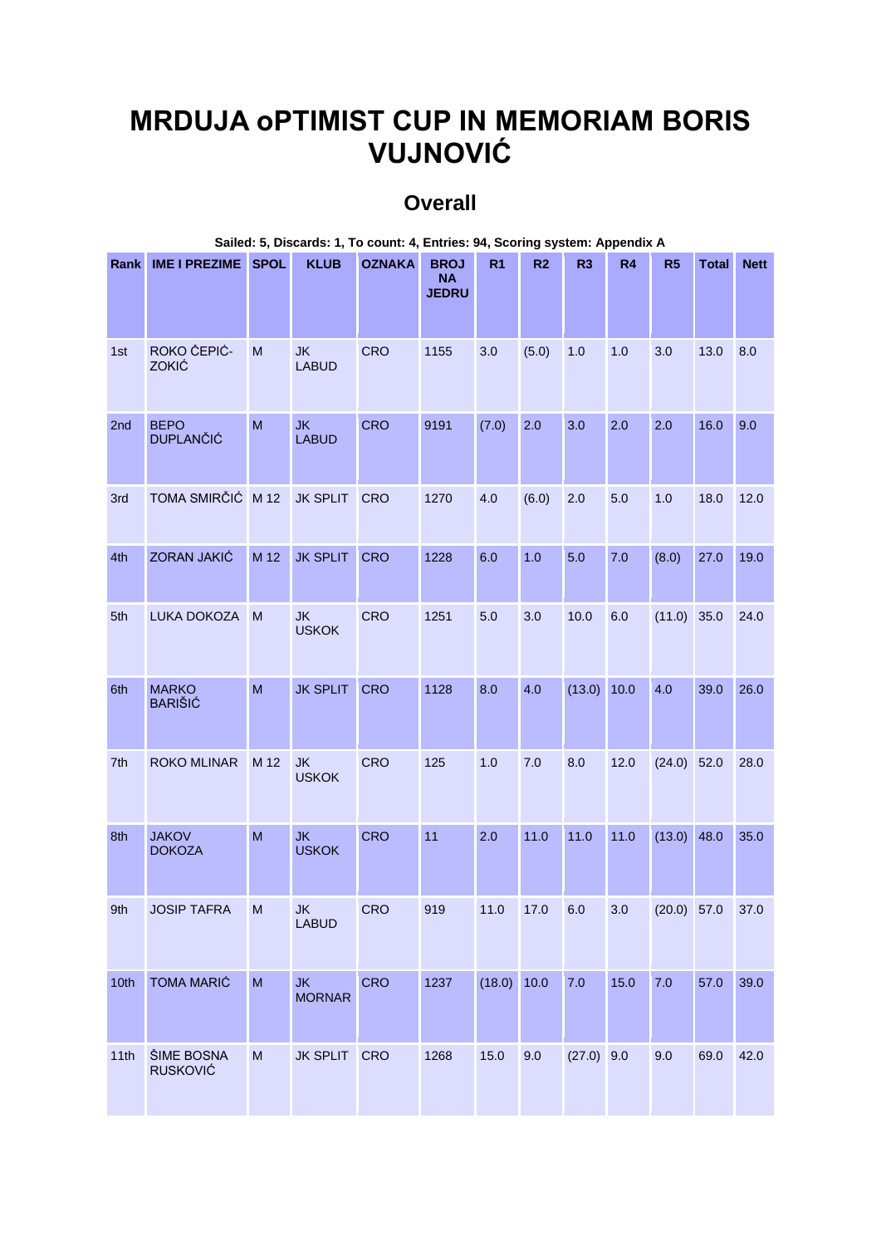## **MRDUJA oPTIMIST CUP IN MEMORIAM BORIS VUJNOVIĆ**

## **Overall**

| Sailed: 5, Discards: 1, To count: 4, Entries: 94, Scoring system: Appendix A |                                 |              |                            |               |                                          |                |                |                |                |               |              |             |
|------------------------------------------------------------------------------|---------------------------------|--------------|----------------------------|---------------|------------------------------------------|----------------|----------------|----------------|----------------|---------------|--------------|-------------|
| <b>Rank</b>                                                                  | IME I PREZIME SPOL              |              | <b>KLUB</b>                | <b>OZNAKA</b> | <b>BROJ</b><br><b>NA</b><br><b>JEDRU</b> | R <sub>1</sub> | R <sub>2</sub> | R <sub>3</sub> | R <sub>4</sub> | R5            | <b>Total</b> | <b>Nett</b> |
| 1st                                                                          | ROKO ČEPIĆ-<br>ZOKIĆ            | M            | <b>JK</b><br><b>LABUD</b>  | <b>CRO</b>    | 1155                                     | 3.0            | (5.0)          | 1.0            | 1.0            | 3.0           | 13.0         | 8.0         |
| 2nd                                                                          | <b>BEPO</b><br><b>DUPLANČIĆ</b> | M            | <b>JK</b><br><b>LABUD</b>  | <b>CRO</b>    | 9191                                     | (7.0)          | 2.0            | 3.0            | 2.0            | 2.0           | 16.0         | 9.0         |
| 3rd                                                                          | TOMA SMIRČIĆ M 12               |              | <b>JK SPLIT</b>            | <b>CRO</b>    | 1270                                     | 4.0            | (6.0)          | 2.0            | 5.0            | 1.0           | 18.0         | 12.0        |
| 4th                                                                          | ZORAN JAKIĆ                     | M 12         | <b>JK SPLIT</b>            | <b>CRO</b>    | 1228                                     | 6.0            | 1.0            | 5.0            | 7.0            | (8.0)         | 27.0         | 19.0        |
| 5th                                                                          | LUKA DOKOZA                     | M            | <b>JK</b><br><b>USKOK</b>  | <b>CRO</b>    | 1251                                     | 5.0            | 3.0            | 10.0           | 6.0            | $(11.0)$ 35.0 |              | 24.0        |
| 6th                                                                          | <b>MARKO</b><br><b>BARIŠIĆ</b>  | M            | <b>JK SPLIT</b>            | <b>CRO</b>    | 1128                                     | 8.0            | 4.0            | (13.0) 10.0    |                | 4.0           | 39.0         | 26.0        |
| 7th                                                                          | <b>ROKO MLINAR</b>              | M 12         | <b>JK</b><br><b>USKOK</b>  | <b>CRO</b>    | 125                                      | 1.0            | 7.0            | 8.0            | 12.0           | $(24.0)$ 52.0 |              | 28.0        |
| 8th                                                                          | <b>JAKOV</b><br><b>DOKOZA</b>   | $\mathsf{M}$ | <b>JK</b><br><b>USKOK</b>  | <b>CRO</b>    | 11                                       | 2.0            | 11.0           | 11.0           | 11.0           | $(13.0)$ 48.0 |              | 35.0        |
| 9th                                                                          | <b>JOSIP TAFRA</b>              | M            | <b>JK</b><br><b>LABUD</b>  | <b>CRO</b>    | 919                                      | 11.0           | 17.0           | 6.0            | 3.0            | $(20.0)$ 57.0 |              | 37.0        |
| 10th                                                                         | <b>TOMA MARIĆ</b>               | ${\sf M}$    | <b>JK</b><br><b>MORNAR</b> | <b>CRO</b>    | 1237                                     | (18.0)         | 10.0           | 7.0            | 15.0           | 7.0           | 57.0         | 39.0        |
| 11th                                                                         | ŠIME BOSNA<br><b>RUSKOVIĆ</b>   | M            | <b>JK SPLIT</b>            | <b>CRO</b>    | 1268                                     | 15.0           | 9.0            | $(27.0)$ 9.0   |                | 9.0           | 69.0         | 42.0        |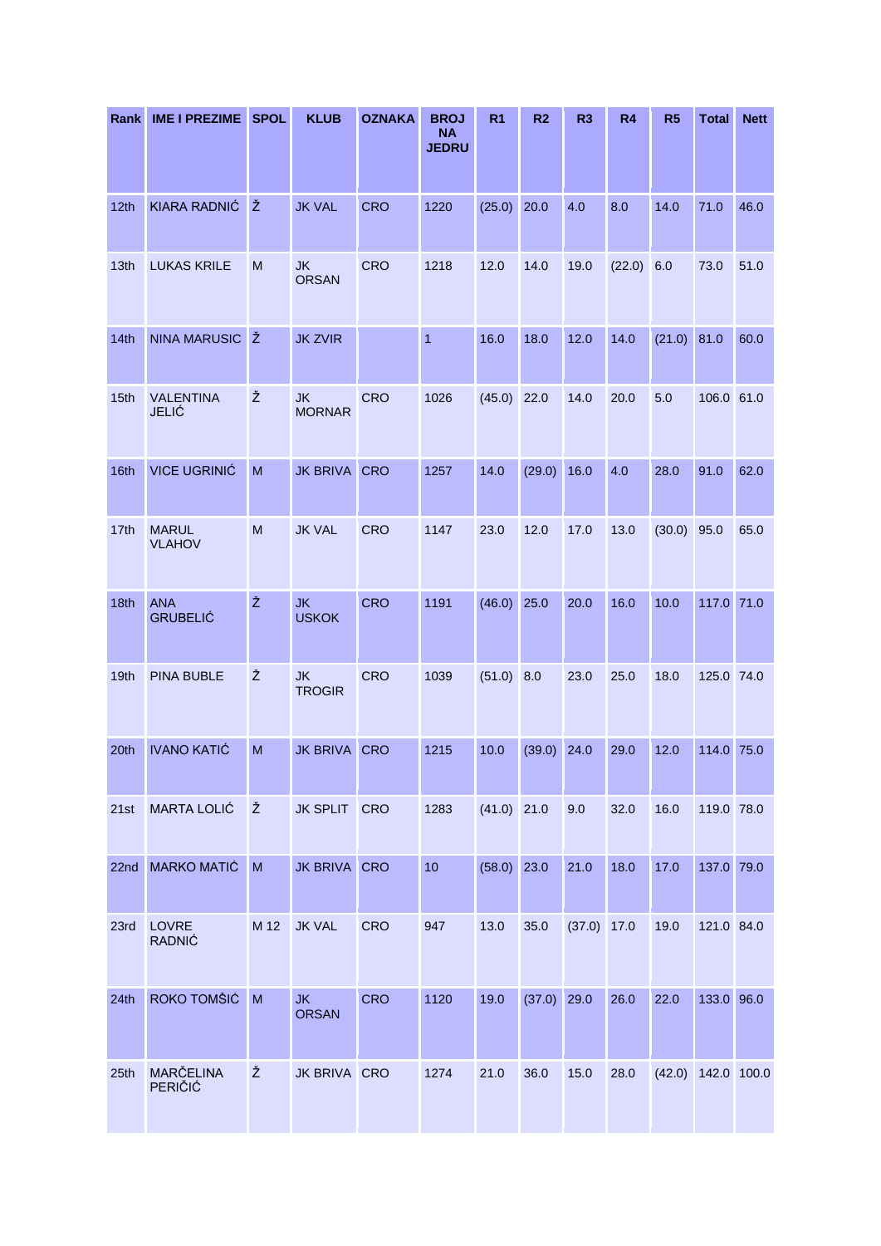| Rank | <b>IME I PREZIME</b>             | <b>SPOL</b> | <b>KLUB</b>                | <b>OZNAKA</b> | <b>BROJ</b><br><b>NA</b><br><b>JEDRU</b> | R <sub>1</sub> | R <sub>2</sub> | R <sub>3</sub> | R <sub>4</sub> | R <sub>5</sub> | <b>Total</b>         | <b>Nett</b> |
|------|----------------------------------|-------------|----------------------------|---------------|------------------------------------------|----------------|----------------|----------------|----------------|----------------|----------------------|-------------|
| 12th | KIARA RADNIĆ                     | Ž           | <b>JK VAL</b>              | <b>CRO</b>    | 1220                                     | (25.0)         | 20.0           | 4.0            | 8.0            | 14.0           | 71.0                 | 46.0        |
| 13th | <b>LUKAS KRILE</b>               | M           | <b>JK</b><br><b>ORSAN</b>  | <b>CRO</b>    | 1218                                     | 12.0           | 14.0           | 19.0           | (22.0)         | 6.0            | 73.0                 | 51.0        |
| 14th | NINA MARUSIC Ž                   |             | <b>JK ZVIR</b>             |               | $\mathbf{1}$                             | 16.0           | 18.0           | 12.0           | 14.0           | $(21.0)$ 81.0  |                      | 60.0        |
| 15th | <b>VALENTINA</b><br><b>JELIĆ</b> | Ž           | <b>JK</b><br><b>MORNAR</b> | <b>CRO</b>    | 1026                                     | (45.0)         | 22.0           | 14.0           | 20.0           | 5.0            | 106.0 61.0           |             |
| 16th | <b>VICE UGRINIĆ</b>              | M           | <b>JK BRIVA</b>            | <b>CRO</b>    | 1257                                     | 14.0           | (29.0)         | 16.0           | 4.0            | 28.0           | 91.0                 | 62.0        |
| 17th | <b>MARUL</b><br><b>VLAHOV</b>    | M           | <b>JK VAL</b>              | <b>CRO</b>    | 1147                                     | 23.0           | 12.0           | 17.0           | 13.0           | $(30.0)$ 95.0  |                      | 65.0        |
| 18th | <b>ANA</b><br><b>GRUBELIĆ</b>    | Ž           | <b>JK</b><br><b>USKOK</b>  | <b>CRO</b>    | 1191                                     | (46.0)         | 25.0           | 20.0           | 16.0           | 10.0           | 117.0 71.0           |             |
| 19th | <b>PINA BUBLE</b>                | Ž           | <b>JK</b><br><b>TROGIR</b> | <b>CRO</b>    | 1039                                     | (51.0)         | 8.0            | 23.0           | 25.0           | 18.0           | 125.0 74.0           |             |
| 20th | <b>IVANO KATIĆ</b>               | ${\sf M}$   | <b>JK BRIVA</b>            | <b>CRO</b>    | 1215                                     | 10.0           | (39.0)         | 24.0           | 29.0           | 12.0           | 114.0 75.0           |             |
| 21st | <b>MARTA LOLIĆ</b>               | Ž           | JK SPLIT CRO               |               | 1283                                     | $(41.0)$ 21.0  |                | 9.0            | 32.0           | 16.0           | 119.0 78.0           |             |
| 22nd | <b>MARKO MATIĆ</b>               | M           | JK BRIVA CRO               |               | 10                                       | (58.0)         | 23.0           | 21.0           | 18.0           | 17.0           | 137.0 79.0           |             |
| 23rd | LOVRE<br><b>RADNIĆ</b>           | M 12        | <b>JK VAL</b>              | <b>CRO</b>    | 947                                      | 13.0           | 35.0           | $(37.0)$ 17.0  |                | 19.0           | 121.0 84.0           |             |
| 24th | ROKO TOMŠIĆ                      | M           | <b>JK</b><br><b>ORSAN</b>  | <b>CRO</b>    | 1120                                     | 19.0           | (37.0)         | 29.0           | 26.0           | 22.0           | 133.0 96.0           |             |
| 25th | MARČELINA<br>PERIČIĆ             | Ž           | JK BRIVA CRO               |               | 1274                                     | 21.0           | 36.0           | 15.0           | 28.0           |                | $(42.0)$ 142.0 100.0 |             |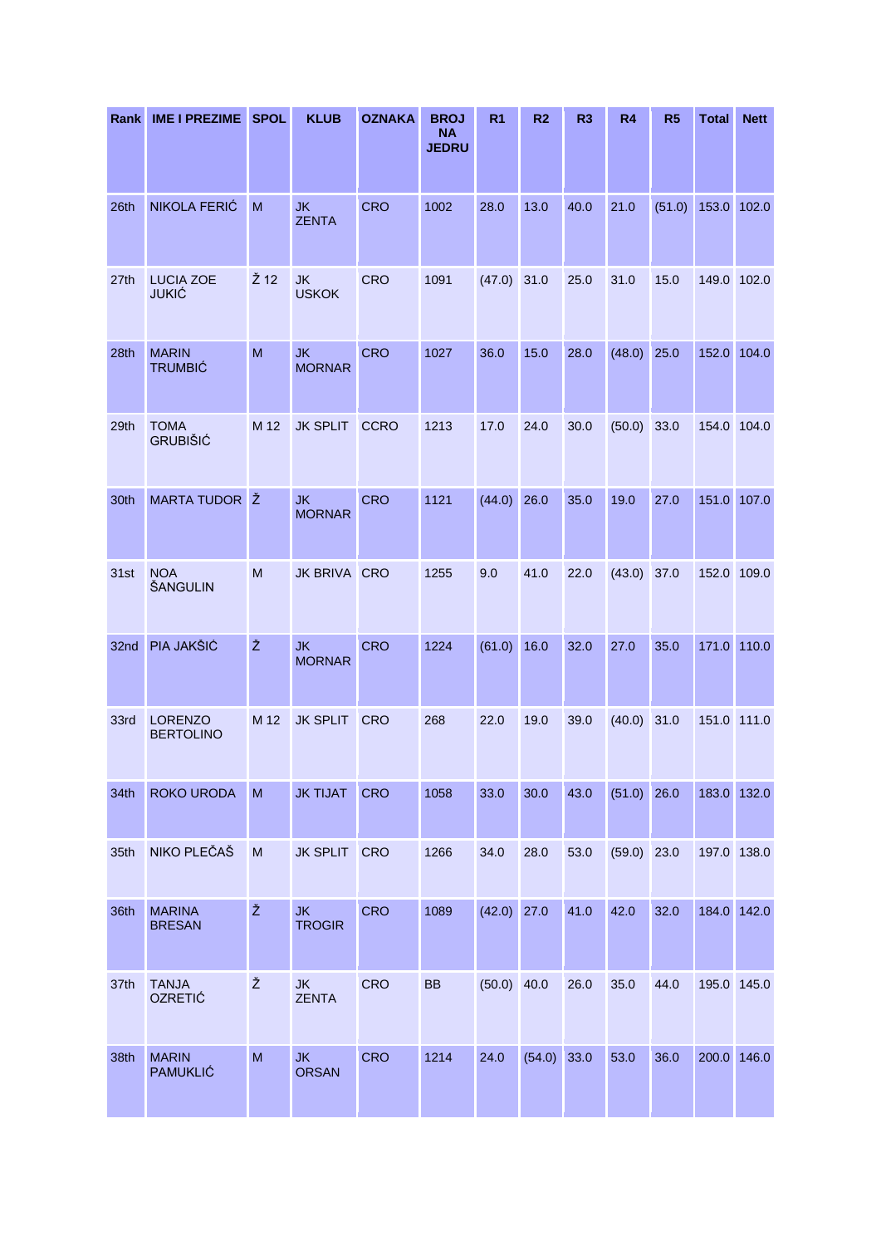| Rank | <b>IME I PREZIME</b>               | <b>SPOL</b> | <b>KLUB</b>                | <b>OZNAKA</b> | <b>BROJ</b><br><b>NA</b><br><b>JEDRU</b> | R <sub>1</sub> | R <sub>2</sub> | R <sub>3</sub> | R <sub>4</sub> | R <sub>5</sub> | <b>Total</b> | <b>Nett</b> |
|------|------------------------------------|-------------|----------------------------|---------------|------------------------------------------|----------------|----------------|----------------|----------------|----------------|--------------|-------------|
| 26th | NIKOLA FERIĆ                       | M           | <b>JK</b><br><b>ZENTA</b>  | CRO           | 1002                                     | 28.0           | 13.0           | 40.0           | 21.0           | (51.0)         | 153.0        | 102.0       |
| 27th | <b>LUCIA ZOE</b><br><b>JUKIĆ</b>   | Ž 12        | <b>JK</b><br><b>USKOK</b>  | <b>CRO</b>    | 1091                                     | (47.0)         | 31.0           | 25.0           | 31.0           | 15.0           |              | 149.0 102.0 |
| 28th | <b>MARIN</b><br><b>TRUMBIĆ</b>     | M           | <b>JK</b><br><b>MORNAR</b> | <b>CRO</b>    | 1027                                     | 36.0           | 15.0           | 28.0           | (48.0)         | 25.0           | 152.0        | 104.0       |
| 29th | <b>TOMA</b><br><b>GRUBIŠIĆ</b>     | M 12        | <b>JK SPLIT</b>            | <b>CCRO</b>   | 1213                                     | 17.0           | 24.0           | 30.0           | (50.0)         | 33.0           | 154.0        | 104.0       |
| 30th | MARTA TUDOR Ž                      |             | <b>JK</b><br><b>MORNAR</b> | <b>CRO</b>    | 1121                                     | (44.0)         | 26.0           | 35.0           | 19.0           | 27.0           | 151.0        | 107.0       |
| 31st | <b>NOA</b><br>ŠANGULIN             | M           | JK BRIVA CRO               |               | 1255                                     | 9.0            | 41.0           | 22.0           | (43.0)         | 37.0           |              | 152.0 109.0 |
| 32nd | PIA JAKŠIĆ                         | Ž           | <b>JK</b><br><b>MORNAR</b> | <b>CRO</b>    | 1224                                     | (61.0)         | 16.0           | 32.0           | 27.0           | 35.0           |              | 171.0 110.0 |
| 33rd | <b>LORENZO</b><br><b>BERTOLINO</b> | M 12        | <b>JK SPLIT</b>            | <b>CRO</b>    | 268                                      | 22.0           | 19.0           | 39.0           | (40.0)         | 31.0           | 151.0 111.0  |             |
| 34th | <b>ROKO URODA</b>                  | M           | <b>JK TIJAT</b>            | <b>CRO</b>    | 1058                                     | 33.0           | 30.0           | 43.0           | $(51.0)$ 26.0  |                |              | 183.0 132.0 |
| 35th | NIKO PLEČAŠ                        | M           | JK SPLIT CRO               |               | 1266                                     | 34.0           | 28.0           | 53.0           | (59.0)         | 23.0           | 197.0 138.0  |             |
| 36th | <b>MARINA</b><br><b>BRESAN</b>     | Ž           | <b>JK</b><br><b>TROGIR</b> | <b>CRO</b>    | 1089                                     | (42.0)         | 27.0           | 41.0           | 42.0           | 32.0           |              | 184.0 142.0 |
| 37th | <b>TANJA</b><br><b>OZRETIĆ</b>     | Ž           | JK<br><b>ZENTA</b>         | CRO           | <b>BB</b>                                | $(50.0)$ 40.0  |                | 26.0           | 35.0           | 44.0           | 195.0 145.0  |             |
| 38th | <b>MARIN</b><br><b>PAMUKLIĆ</b>    | M           | <b>JK</b><br><b>ORSAN</b>  | <b>CRO</b>    | 1214                                     | 24.0           | $(54.0)$ 33.0  |                | 53.0           | 36.0           | 200.0 146.0  |             |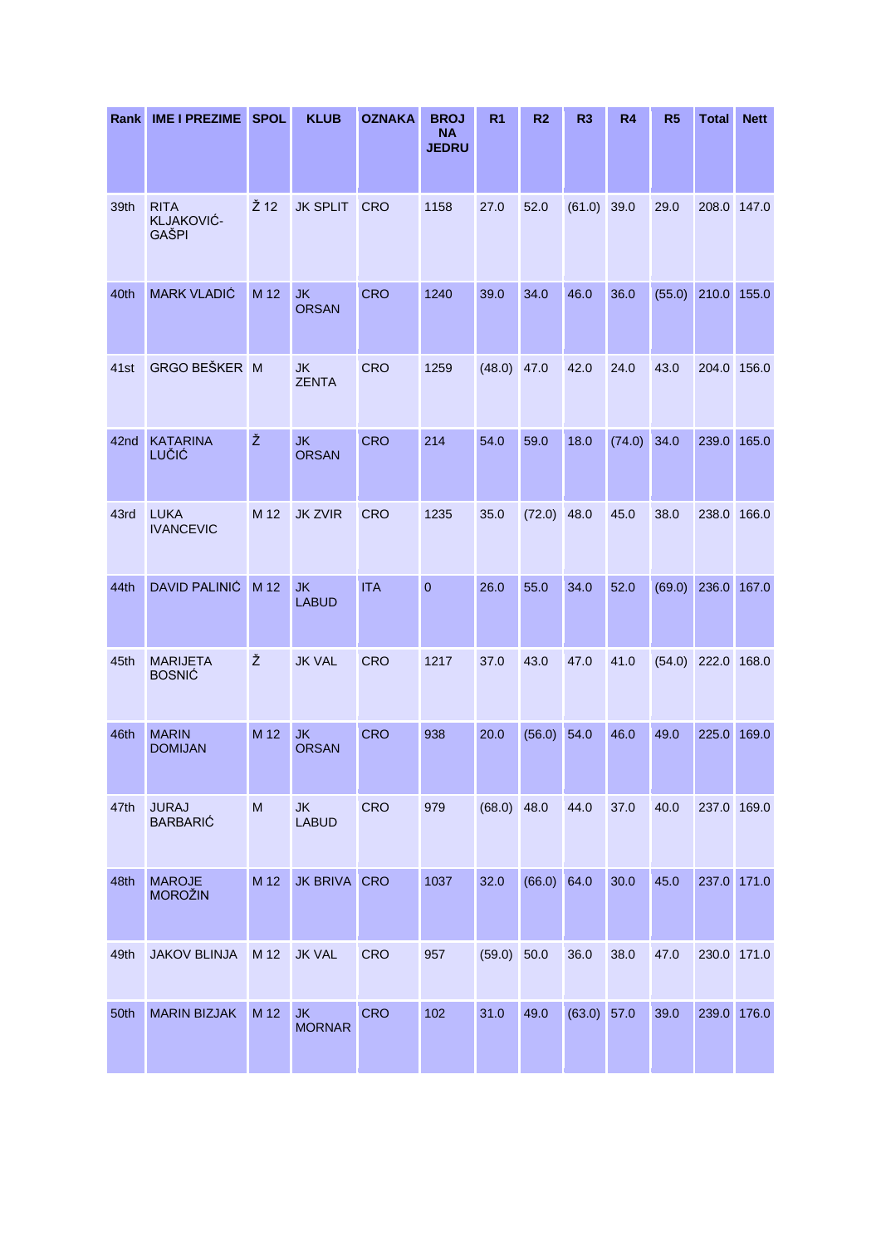| Rank | <b>IME I PREZIME</b>                      | <b>SPOL</b> | <b>KLUB</b>                | <b>OZNAKA</b> | <b>BROJ</b><br><b>NA</b><br><b>JEDRU</b> | R <sub>1</sub> | R <sub>2</sub> | R <sub>3</sub> | <b>R4</b> | R <sub>5</sub> | <b>Total</b> | <b>Nett</b> |
|------|-------------------------------------------|-------------|----------------------------|---------------|------------------------------------------|----------------|----------------|----------------|-----------|----------------|--------------|-------------|
| 39th | <b>RITA</b><br>KLJAKOVIĆ-<br><b>GAŠPI</b> | Ž 12        | <b>JK SPLIT</b>            | <b>CRO</b>    | 1158                                     | 27.0           | 52.0           | (61.0)         | 39.0      | 29.0           | 208.0 147.0  |             |
| 40th | <b>MARK VLADIĆ</b>                        | M 12        | <b>JK</b><br><b>ORSAN</b>  | <b>CRO</b>    | 1240                                     | 39.0           | 34.0           | 46.0           | 36.0      | (55.0)         | 210.0        | 155.0       |
| 41st | GRGO BEŠKER M                             |             | <b>JK</b><br><b>ZENTA</b>  | <b>CRO</b>    | 1259                                     | (48.0)         | 47.0           | 42.0           | 24.0      | 43.0           | 204.0 156.0  |             |
| 42nd | <b>KATARINA</b><br>LUČIĆ                  | Ž           | <b>JK</b><br><b>ORSAN</b>  | <b>CRO</b>    | 214                                      | 54.0           | 59.0           | 18.0           | (74.0)    | 34.0           | 239.0        | 165.0       |
| 43rd | <b>LUKA</b><br><b>IVANCEVIC</b>           | M 12        | <b>JK ZVIR</b>             | <b>CRO</b>    | 1235                                     | 35.0           | (72.0)         | 48.0           | 45.0      | 38.0           | 238.0        | 166.0       |
| 44th | <b>DAVID PALINIĆ</b>                      | M 12        | <b>JK</b><br><b>LABUD</b>  | <b>ITA</b>    | $\overline{0}$                           | 26.0           | 55.0           | 34.0           | 52.0      | (69.0)         | 236.0        | 167.0       |
| 45th | <b>MARIJETA</b><br><b>BOSNIĆ</b>          | Ž           | <b>JK VAL</b>              | <b>CRO</b>    | 1217                                     | 37.0           | 43.0           | 47.0           | 41.0      | (54.0)         | 222.0 168.0  |             |
| 46th | <b>MARIN</b><br><b>DOMIJAN</b>            | M 12        | <b>JK</b><br><b>ORSAN</b>  | <b>CRO</b>    | 938                                      | 20.0           | (56.0)         | 54.0           | 46.0      | 49.0           | 225.0        | 169.0       |
| 47th | <b>JURAJ</b><br><b>BARBARIĆ</b>           | M           | <b>JK</b><br><b>LABUD</b>  | <b>CRO</b>    | 979                                      | $(68.0)$ 48.0  |                | 44.0           | 37.0      | 40.0           | 237.0 169.0  |             |
| 48th | <b>MAROJE</b><br><b>MOROŽIN</b>           | M 12        | JK BRIVA CRO               |               | 1037                                     | 32.0           | (66.0)         | 64.0           | 30.0      | 45.0           | 237.0 171.0  |             |
| 49th | <b>JAKOV BLINJA</b>                       | M 12        | <b>JK VAL</b>              | <b>CRO</b>    | 957                                      | (59.0)         | 50.0           | 36.0           | 38.0      | 47.0           | 230.0 171.0  |             |
| 50th | <b>MARIN BIZJAK</b>                       | M 12        | <b>JK</b><br><b>MORNAR</b> | <b>CRO</b>    | 102                                      | 31.0           | 49.0           | $(63.0)$ 57.0  |           | 39.0           | 239.0 176.0  |             |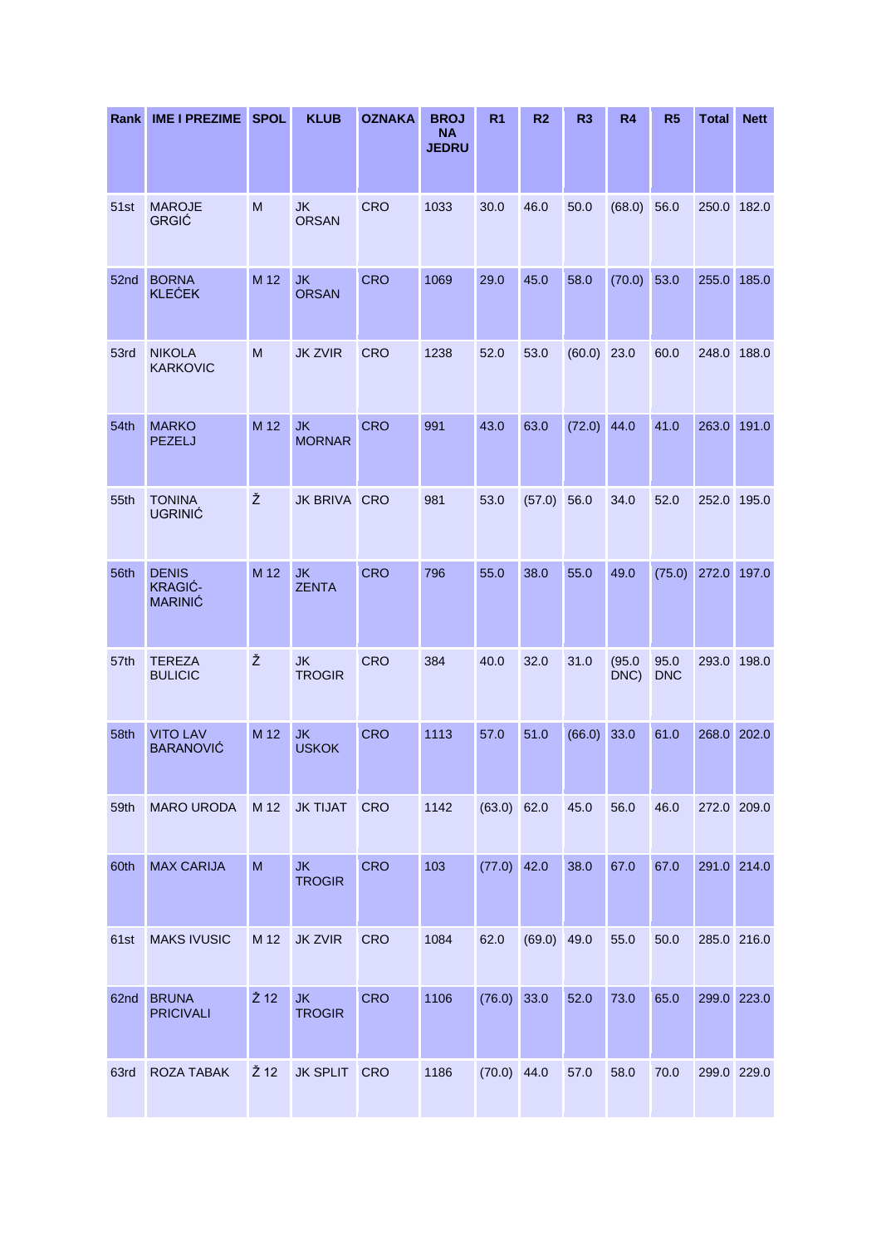| Rank | <b>IME I PREZIME</b>                             | <b>SPOL</b>    | <b>KLUB</b>                | <b>OZNAKA</b> | <b>BROJ</b><br><b>NA</b><br><b>JEDRU</b> | R <sub>1</sub> | R <sub>2</sub> | R <sub>3</sub> | R4             | R <sub>5</sub>     | <b>Total</b> | <b>Nett</b> |
|------|--------------------------------------------------|----------------|----------------------------|---------------|------------------------------------------|----------------|----------------|----------------|----------------|--------------------|--------------|-------------|
| 51st | <b>MAROJE</b><br><b>GRGIĆ</b>                    | M              | <b>JK</b><br><b>ORSAN</b>  | <b>CRO</b>    | 1033                                     | 30.0           | 46.0           | 50.0           | (68.0)         | 56.0               | 250.0        | 182.0       |
| 52nd | <b>BORNA</b><br><b>KLEĆEK</b>                    | M 12           | <b>JK</b><br><b>ORSAN</b>  | <b>CRO</b>    | 1069                                     | 29.0           | 45.0           | 58.0           | (70.0)         | 53.0               | 255.0        | 185.0       |
| 53rd | <b>NIKOLA</b><br><b>KARKOVIC</b>                 | M              | <b>JK ZVIR</b>             | <b>CRO</b>    | 1238                                     | 52.0           | 53.0           | (60.0)         | 23.0           | 60.0               | 248.0 188.0  |             |
| 54th | <b>MARKO</b><br><b>PEZELJ</b>                    | M 12           | <b>JK</b><br><b>MORNAR</b> | <b>CRO</b>    | 991                                      | 43.0           | 63.0           | (72.0)         | 44.0           | 41.0               | 263.0        | 191.0       |
| 55th | <b>TONINA</b><br><b>UGRINIĆ</b>                  | Ž              | JK BRIVA CRO               |               | 981                                      | 53.0           | (57.0)         | 56.0           | 34.0           | 52.0               | 252.0        | 195.0       |
| 56th | <b>DENIS</b><br><b>KRAGIĆ-</b><br><b>MARINIĆ</b> | M 12           | <b>JK</b><br><b>ZENTA</b>  | <b>CRO</b>    | 796                                      | 55.0           | 38.0           | 55.0           | 49.0           | (75.0)             | 272.0        | 197.0       |
| 57th | <b>TEREZA</b><br><b>BULICIC</b>                  | Ž              | <b>JK</b><br><b>TROGIR</b> | <b>CRO</b>    | 384                                      | 40.0           | 32.0           | 31.0           | (95.0)<br>DNC) | 95.0<br><b>DNC</b> | 293.0        | 198.0       |
| 58th | <b>VITO LAV</b><br><b>BARANOVIĆ</b>              | M 12           | <b>JK</b><br><b>USKOK</b>  | <b>CRO</b>    | 1113                                     | 57.0           | 51.0           | $(66.0)$ 33.0  |                | 61.0               | 268.0 202.0  |             |
| 59th | <b>MARO URODA</b>                                | M 12           | <b>JK TIJAT</b>            | <b>CRO</b>    | 1142                                     | $(63.0)$ 62.0  |                | 45.0           | 56.0           | 46.0               | 272.0 209.0  |             |
| 60th | <b>MAX CARIJA</b>                                | $\mathsf{M}$   | <b>JK</b><br><b>TROGIR</b> | <b>CRO</b>    | 103                                      | $(77.0)$ 42.0  |                | 38.0           | 67.0           | 67.0               | 291.0 214.0  |             |
| 61st | <b>MAKS IVUSIC</b>                               | M 12           | <b>JK ZVIR</b>             | <b>CRO</b>    | 1084                                     | 62.0           | (69.0)         | 49.0           | 55.0           | 50.0               | 285.0 216.0  |             |
| 62nd | <b>BRUNA</b><br><b>PRICIVALI</b>                 | $\check{Z}$ 12 | <b>JK</b><br><b>TROGIR</b> | <b>CRO</b>    | 1106                                     | (76.0)         | 33.0           | 52.0           | 73.0           | 65.0               | 299.0 223.0  |             |
| 63rd | ROZA TABAK                                       | Ž 12           | JK SPLIT CRO               |               | 1186                                     | $(70.0)$ 44.0  |                | 57.0           | 58.0           | 70.0               | 299.0 229.0  |             |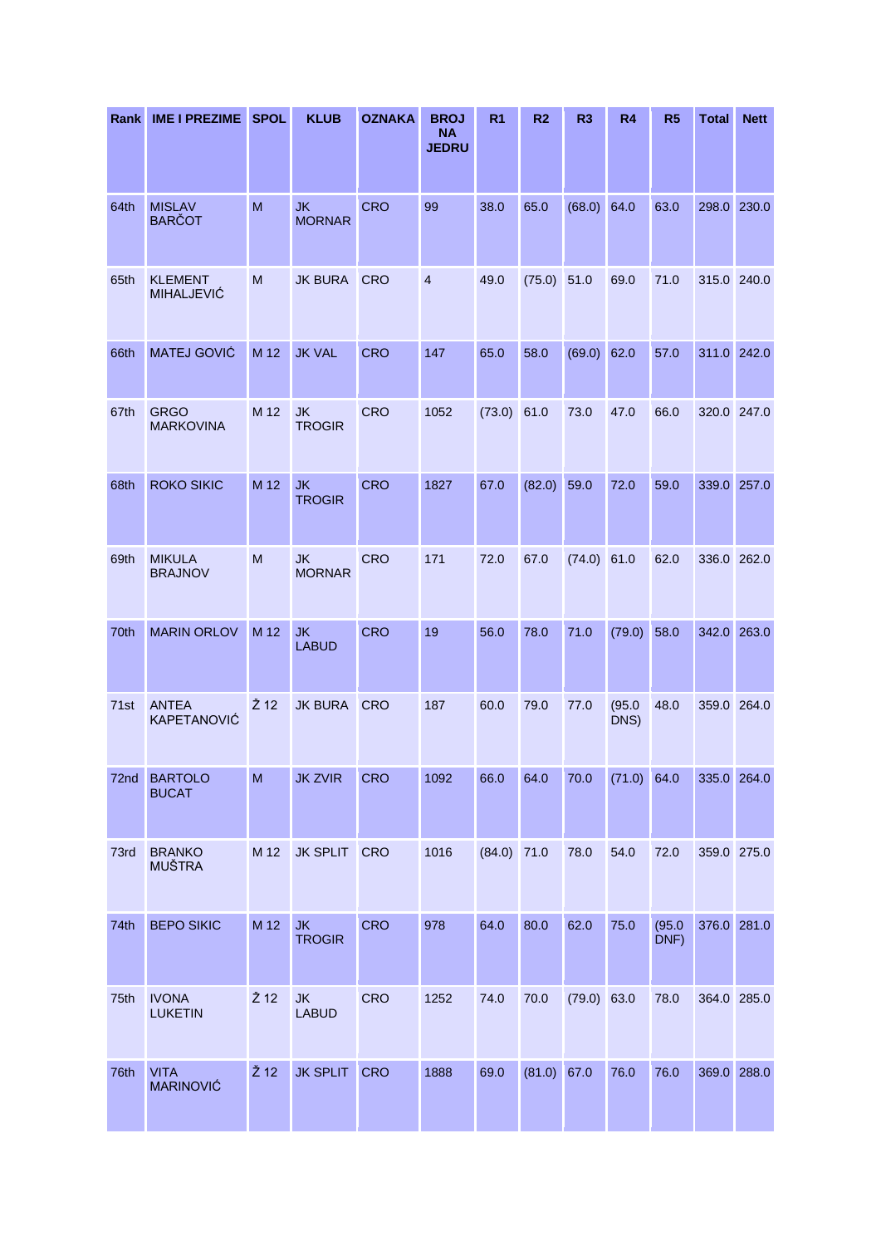| <b>Rank</b>      | <b>IME I PREZIME</b>                | <b>SPOL</b>    | <b>KLUB</b>                | <b>OZNAKA</b> | <b>BROJ</b><br><b>NA</b><br><b>JEDRU</b> | R <sub>1</sub> | R <sub>2</sub> | R <sub>3</sub> | <b>R4</b>      | R <sub>5</sub> | <b>Total</b> | <b>Nett</b> |
|------------------|-------------------------------------|----------------|----------------------------|---------------|------------------------------------------|----------------|----------------|----------------|----------------|----------------|--------------|-------------|
| 64th             | <b>MISLAV</b><br><b>BARČOT</b>      | M              | <b>JK</b><br><b>MORNAR</b> | <b>CRO</b>    | 99                                       | 38.0           | 65.0           | (68.0) 64.0    |                | 63.0           | 298.0 230.0  |             |
| 65th             | <b>KLEMENT</b><br><b>MIHALJEVIĆ</b> | M              | <b>JK BURA</b>             | <b>CRO</b>    | $\overline{4}$                           | 49.0           | (75.0)         | 51.0           | 69.0           | 71.0           | 315.0 240.0  |             |
| 66th             | MATEJ GOVIĆ                         | M 12           | <b>JK VAL</b>              | <b>CRO</b>    | 147                                      | 65.0           | 58.0           | (69.0) 62.0    |                | 57.0           | 311.0 242.0  |             |
| 67th             | <b>GRGO</b><br><b>MARKOVINA</b>     | M 12           | <b>JK</b><br><b>TROGIR</b> | <b>CRO</b>    | 1052                                     | (73.0)         | 61.0           | 73.0           | 47.0           | 66.0           |              | 320.0 247.0 |
| 68th             | <b>ROKO SIKIC</b>                   | M 12           | <b>JK</b><br><b>TROGIR</b> | <b>CRO</b>    | 1827                                     | 67.0           | (82.0)         | 59.0           | 72.0           | 59.0           | 339.0 257.0  |             |
| 69th             | <b>MIKULA</b><br><b>BRAJNOV</b>     | M              | <b>JK</b><br><b>MORNAR</b> | <b>CRO</b>    | 171                                      | 72.0           | 67.0           | $(74.0)$ 61.0  |                | 62.0           | 336.0 262.0  |             |
| 70th             | <b>MARIN ORLOV</b>                  | M 12           | <b>JK</b><br><b>LABUD</b>  | <b>CRO</b>    | 19                                       | 56.0           | 78.0           | 71.0           | (79.0)         | 58.0           | 342.0 263.0  |             |
| 71 <sub>st</sub> | <b>ANTEA</b><br>KAPETANOVIĆ         | Ž 12           | <b>JK BURA</b>             | <b>CRO</b>    | 187                                      | 60.0           | 79.0           | 77.0           | (95.0)<br>DNS) | 48.0           | 359.0 264.0  |             |
| 72nd             | <b>BARTOLO</b><br><b>BUCAT</b>      | M              | <b>JK ZVIR</b>             | <b>CRO</b>    | 1092                                     | 66.0           | 64.0           | 70.0           | $(71.0)$ 64.0  |                | 335.0 264.0  |             |
| 73rd             | <b>BRANKO</b><br><b>MUŠTRA</b>      | M 12           | <b>JK SPLIT</b>            | <b>CRO</b>    | 1016                                     | (84.0)         | 71.0           | 78.0           | 54.0           | 72.0           | 359.0 275.0  |             |
| 74th             | <b>BEPO SIKIC</b>                   | M 12           | <b>JK</b><br><b>TROGIR</b> | <b>CRO</b>    | 978                                      | 64.0           | 80.0           | 62.0           | 75.0           | (95.0)<br>DNF) | 376.0 281.0  |             |
| 75th             | <b>IVONA</b><br><b>LUKETIN</b>      | Ž 12           | <b>JK</b><br><b>LABUD</b>  | CRO           | 1252                                     | 74.0           | 70.0           | $(79.0)$ 63.0  |                | 78.0           | 364.0 285.0  |             |
| 76th             | <b>VITA</b><br><b>MARINOVIĆ</b>     | $\check{Z}$ 12 | <b>JK SPLIT</b>            | <b>CRO</b>    | 1888                                     | 69.0           | (81.0) 67.0    |                | 76.0           | 76.0           | 369.0 288.0  |             |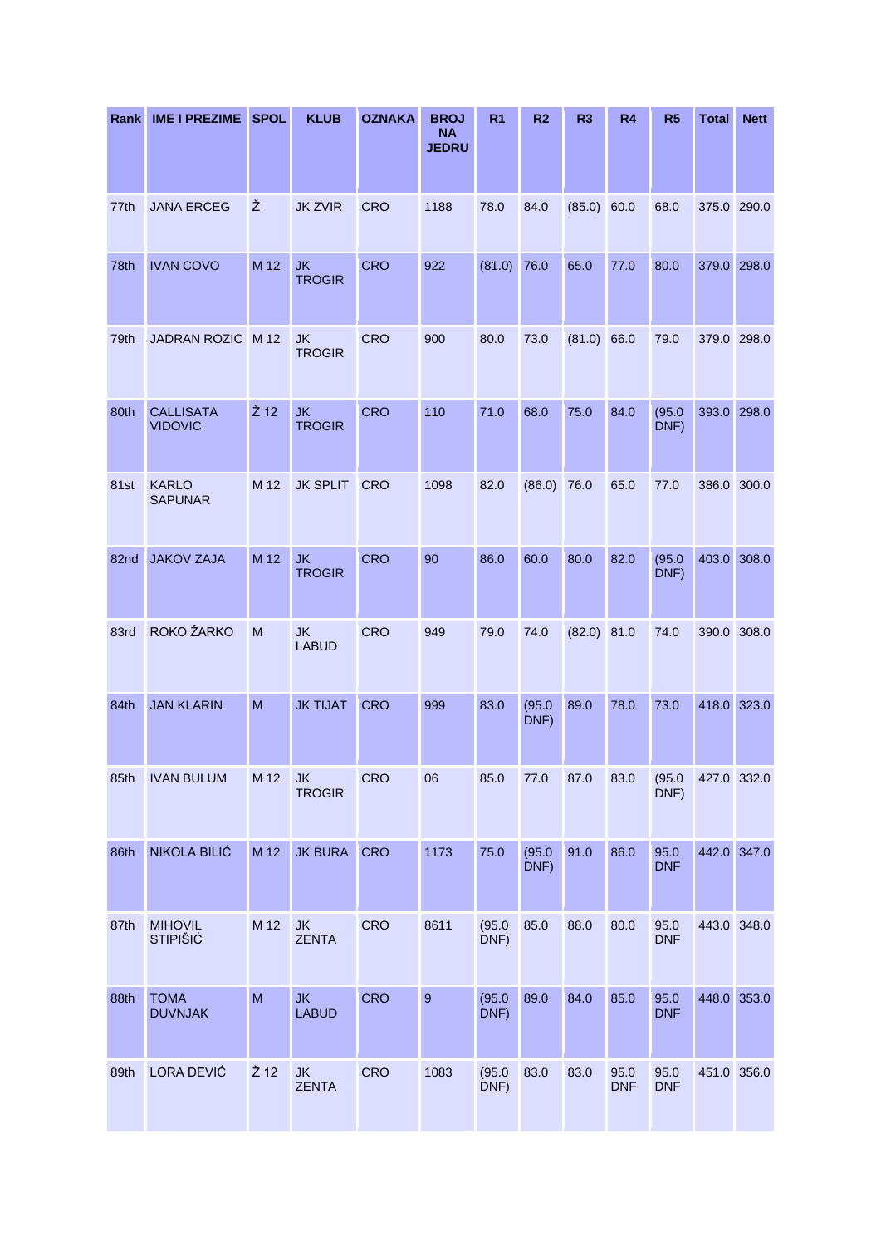| Rank | <b>IME I PREZIME</b>               | <b>SPOL</b>    | <b>KLUB</b>                | <b>OZNAKA</b> | <b>BROJ</b><br><b>NA</b><br><b>JEDRU</b> | R <sub>1</sub> | R <sub>2</sub> | R <sub>3</sub> | R <sub>4</sub>     | R <sub>5</sub>     | <b>Total</b> | <b>Nett</b> |
|------|------------------------------------|----------------|----------------------------|---------------|------------------------------------------|----------------|----------------|----------------|--------------------|--------------------|--------------|-------------|
| 77th | <b>JANA ERCEG</b>                  | Ž              | <b>JK ZVIR</b>             | <b>CRO</b>    | 1188                                     | 78.0           | 84.0           | (85.0)         | 60.0               | 68.0               | 375.0 290.0  |             |
| 78th | <b>IVAN COVO</b>                   | M 12           | <b>JK</b><br><b>TROGIR</b> | <b>CRO</b>    | 922                                      | (81.0)         | 76.0           | 65.0           | 77.0               | 80.0               | 379.0        | 298.0       |
| 79th | <b>JADRAN ROZIC</b>                | M 12           | <b>JK</b><br><b>TROGIR</b> | <b>CRO</b>    | 900                                      | 80.0           | 73.0           | (81.0)         | 66.0               | 79.0               | 379.0 298.0  |             |
| 80th | <b>CALLISATA</b><br><b>VIDOVIC</b> | $\check{Z}$ 12 | <b>JK</b><br><b>TROGIR</b> | <b>CRO</b>    | 110                                      | 71.0           | 68.0           | 75.0           | 84.0               | (95.0)<br>DNF)     | 393.0        | 298.0       |
| 81st | <b>KARLO</b><br><b>SAPUNAR</b>     | M 12           | <b>JK SPLIT</b>            | CRO           | 1098                                     | 82.0           | (86.0)         | 76.0           | 65.0               | 77.0               |              | 386.0 300.0 |
| 82nd | <b>JAKOV ZAJA</b>                  | M 12           | <b>JK</b><br><b>TROGIR</b> | <b>CRO</b>    | 90                                       | 86.0           | 60.0           | 80.0           | 82.0               | (95.0)<br>DNF)     | 403.0        | 308.0       |
| 83rd | ROKO ŽARKO                         | M              | <b>JK</b><br><b>LABUD</b>  | <b>CRO</b>    | 949                                      | 79.0           | 74.0           | $(82.0)$ 81.0  |                    | 74.0               |              | 390.0 308.0 |
| 84th | <b>JAN KLARIN</b>                  | M              | <b>JK TIJAT</b>            | <b>CRO</b>    | 999                                      | 83.0           | (95.0)<br>DNF) | 89.0           | 78.0               | 73.0               |              | 418.0 323.0 |
| 85th | <b>IVAN BULUM</b>                  | M 12           | <b>JK</b><br><b>TROGIR</b> | <b>CRO</b>    | 06                                       | 85.0           | 77.0           | 87.0           | 83.0               | (95.0)<br>DNF)     |              | 427.0 332.0 |
| 86th | NIKOLA BILIĆ                       | M 12           | <b>JK BURA</b>             | <b>CRO</b>    | 1173                                     | 75.0           | (95.0)<br>DNF) | 91.0           | 86.0               | 95.0<br><b>DNF</b> |              | 442.0 347.0 |
| 87th | <b>MIHOVIL</b><br><b>STIPIŠIĆ</b>  | M 12           | JK<br><b>ZENTA</b>         | <b>CRO</b>    | 8611                                     | (95.0)<br>DNF) | 85.0           | 88.0           | 80.0               | 95.0<br><b>DNF</b> |              | 443.0 348.0 |
| 88th | <b>TOMA</b><br><b>DUVNJAK</b>      | ${\sf M}$      | <b>JK</b><br><b>LABUD</b>  | <b>CRO</b>    | $\mathsf g$                              | (95.0)<br>DNF) | 89.0           | 84.0           | 85.0               | 95.0<br><b>DNF</b> |              | 448.0 353.0 |
| 89th | LORA DEVIĆ                         | Ž 12           | <b>JK</b><br><b>ZENTA</b>  | CRO           | 1083                                     | (95.0)<br>DNF) | 83.0           | 83.0           | 95.0<br><b>DNF</b> | 95.0<br><b>DNF</b> | 451.0 356.0  |             |